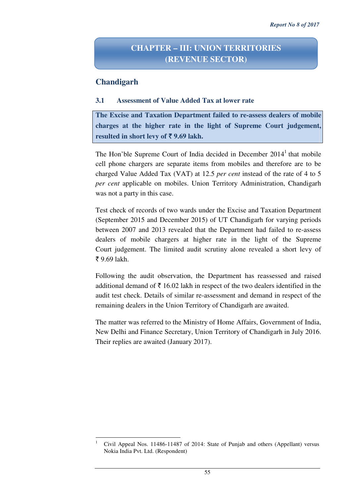# **CHAPTER – III: UNION TERRITORIES (REVENUE SECTOR)**

## **Chandigarh**

l

#### **3.1 Assessment of Value Added Tax at lower rate**

**The Excise and Taxation Department failed to re-assess dealers of mobile charges at the higher rate in the light of Supreme Court judgement, resulted in short levy of** ` **9.69 lakh.** 

The Hon'ble Supreme Court of India decided in December  $2014<sup>1</sup>$  that mobile cell phone chargers are separate items from mobiles and therefore are to be charged Value Added Tax (VAT) at 12.5 *per cent* instead of the rate of 4 to 5 *per cent* applicable on mobiles. Union Territory Administration, Chandigarh was not a party in this case.

Test check of records of two wards under the Excise and Taxation Department (September 2015 and December 2015) of UT Chandigarh for varying periods between 2007 and 2013 revealed that the Department had failed to re-assess dealers of mobile chargers at higher rate in the light of the Supreme Court judgement. The limited audit scrutiny alone revealed a short levy of  $\bar{5}$  9.69 lakh.

Following the audit observation, the Department has reassessed and raised additional demand of  $\bar{\tau}$  16.02 lakh in respect of the two dealers identified in the audit test check. Details of similar re-assessment and demand in respect of the remaining dealers in the Union Territory of Chandigarh are awaited.

The matter was referred to the Ministry of Home Affairs, Government of India, New Delhi and Finance Secretary, Union Territory of Chandigarh in July 2016. Their replies are awaited (January 2017).

<sup>1</sup> Civil Appeal Nos. 11486-11487 of 2014: State of Punjab and others (Appellant) versus Nokia India Pvt. Ltd. (Respondent)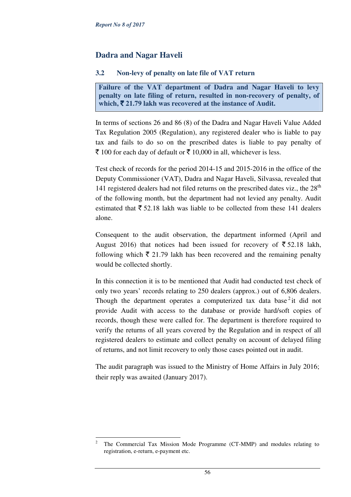l

# **Dadra and Nagar Haveli**

### **3.2 Non-levy of penalty on late file of VAT return**

**Failure of the VAT department of Dadra and Nagar Haveli to levy penalty on late filing of return, resulted in non-recovery of penalty, of which,** ` **21.79 lakh was recovered at the instance of Audit.**

In terms of sections 26 and 86 (8) of the Dadra and Nagar Haveli Value Added Tax Regulation 2005 (Regulation), any registered dealer who is liable to pay tax and fails to do so on the prescribed dates is liable to pay penalty of  $\bar{\tau}$  100 for each day of default or  $\bar{\tau}$  10,000 in all, whichever is less.

Test check of records for the period 2014-15 and 2015-2016 in the office of the Deputy Commissioner (VAT), Dadra and Nagar Haveli, Silvassa, revealed that 141 registered dealers had not filed returns on the prescribed dates viz., the 28<sup>th</sup> of the following month, but the department had not levied any penalty. Audit estimated that  $\bar{\xi}$  52.18 lakh was liable to be collected from these 141 dealers alone.

Consequent to the audit observation, the department informed (April and August 2016) that notices had been issued for recovery of  $\overline{5}$  52.18 lakh, following which  $\bar{\tau}$  21.79 lakh has been recovered and the remaining penalty would be collected shortly.

In this connection it is to be mentioned that Audit had conducted test check of only two years' records relating to 250 dealers (approx.) out of 6,806 dealers. Though the department operates a computerized tax data base<sup>2</sup> it did not provide Audit with access to the database or provide hard/soft copies of records, though these were called for. The department is therefore required to verify the returns of all years covered by the Regulation and in respect of all registered dealers to estimate and collect penalty on account of delayed filing of returns, and not limit recovery to only those cases pointed out in audit.

The audit paragraph was issued to the Ministry of Home Affairs in July 2016; their reply was awaited (January 2017).

<sup>2</sup> The Commercial Tax Mission Mode Programme (CT-MMP) and modules relating to registration, e-return, e-payment etc.